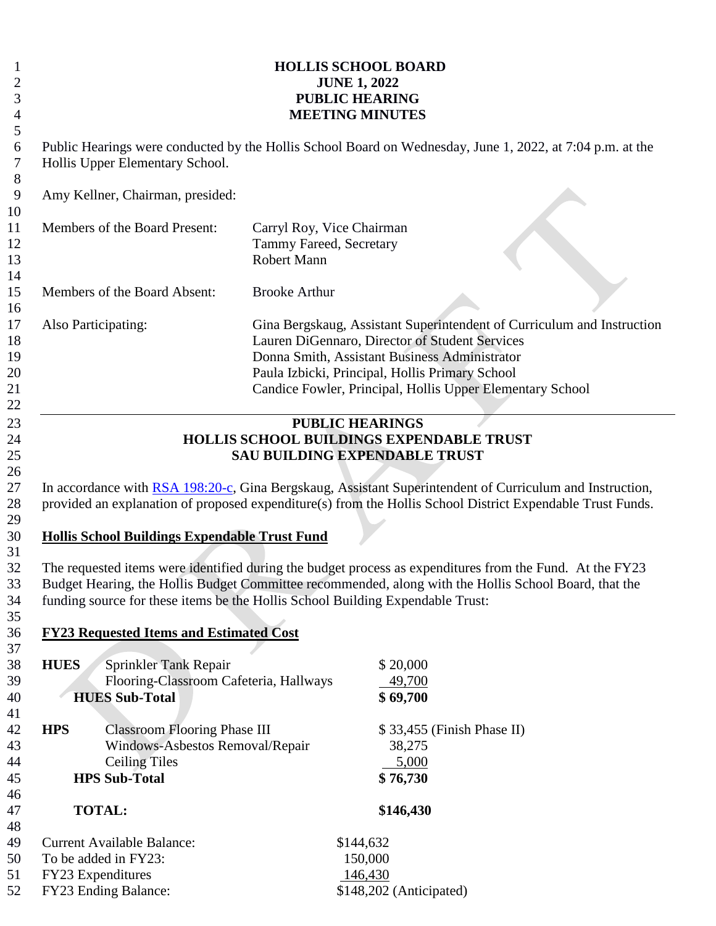|                                                                                                                                  | <b>HOLLIS SCHOOL BOARD</b><br><b>JUNE 1, 2022</b><br><b>PUBLIC HEARING</b><br><b>MEETING MINUTES</b> |                                                                                                                                                                                                                                                                                           |
|----------------------------------------------------------------------------------------------------------------------------------|------------------------------------------------------------------------------------------------------|-------------------------------------------------------------------------------------------------------------------------------------------------------------------------------------------------------------------------------------------------------------------------------------------|
| Hollis Upper Elementary School.                                                                                                  |                                                                                                      | Public Hearings were conducted by the Hollis School Board on Wednesday, June 1, 2022, at 7:04 p.m. at the                                                                                                                                                                                 |
| Amy Kellner, Chairman, presided:                                                                                                 |                                                                                                      |                                                                                                                                                                                                                                                                                           |
| Members of the Board Present:                                                                                                    | Carryl Roy, Vice Chairman<br>Tammy Fareed, Secretary<br>Robert Mann                                  |                                                                                                                                                                                                                                                                                           |
| Members of the Board Absent:                                                                                                     | <b>Brooke Arthur</b>                                                                                 |                                                                                                                                                                                                                                                                                           |
| Also Participating:                                                                                                              |                                                                                                      | Gina Bergskaug, Assistant Superintendent of Curriculum and Instruction<br>Lauren DiGennaro, Director of Student Services<br>Donna Smith, Assistant Business Administrator<br>Paula Izbicki, Principal, Hollis Primary School<br>Candice Fowler, Principal, Hollis Upper Elementary School |
| <b>Hollis School Buildings Expendable Trust Fund</b>                                                                             | <b>SAU BUILDING EXPENDABLE TRUST</b>                                                                 | <b>HOLLIS SCHOOL BUILDINGS EXPENDABLE TRUST</b><br>In accordance with RSA 198:20-c, Gina Bergskaug, Assistant Superintendent of Curriculum and Instruction,<br>provided an explanation of proposed expenditure(s) from the Hollis School District Expendable Trust Funds.                 |
| funding source for these items be the Hollis School Building Expendable Trust:<br><b>FY23 Requested Items and Estimated Cost</b> |                                                                                                      | The requested items were identified during the budget process as expenditures from the Fund. At the FY23<br>Budget Hearing, the Hollis Budget Committee recommended, along with the Hollis School Board, that the                                                                         |
| <b>HUES</b><br>Sprinkler Tank Repair<br>Flooring-Classroom Cafeteria, Hallways<br><b>HUES Sub-Total</b>                          |                                                                                                      | \$20,000<br>49,700<br>\$69,700                                                                                                                                                                                                                                                            |
| <b>HPS</b><br><b>Classroom Flooring Phase III</b><br>Windows-Asbestos Removal/Repair<br><b>Ceiling Tiles</b>                     |                                                                                                      | \$33,455 (Finish Phase II)<br>38,275<br>5,000                                                                                                                                                                                                                                             |
| <b>HPS Sub-Total</b>                                                                                                             |                                                                                                      | \$76,730                                                                                                                                                                                                                                                                                  |
| <b>TOTAL:</b>                                                                                                                    |                                                                                                      | \$146,430                                                                                                                                                                                                                                                                                 |
| <b>Current Available Balance:</b><br>To be added in FY23:<br>FY23 Expenditures<br>FY23 Ending Balance:                           | \$144,632                                                                                            | 150,000<br>146,430<br>\$148,202 (Anticipated)                                                                                                                                                                                                                                             |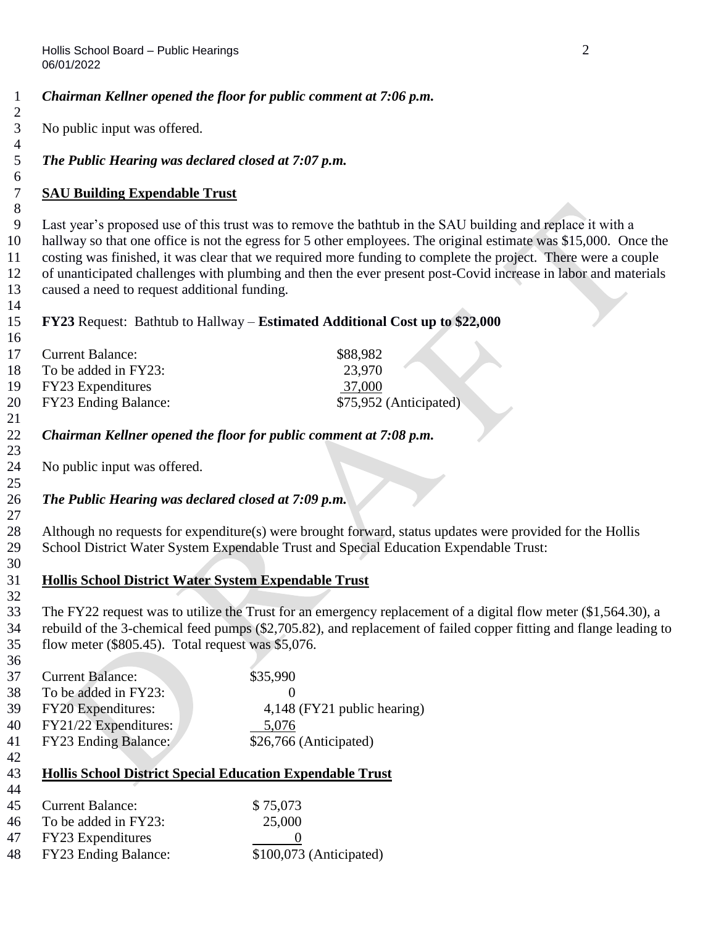*Chairman Kellner opened the floor for public comment at 7:06 p.m.*

| No public input was offered.                                                                   |                                                                                                                                                                                                                                                                                                                                                                                                                                                                   |
|------------------------------------------------------------------------------------------------|-------------------------------------------------------------------------------------------------------------------------------------------------------------------------------------------------------------------------------------------------------------------------------------------------------------------------------------------------------------------------------------------------------------------------------------------------------------------|
| The Public Hearing was declared closed at 7:07 p.m.                                            |                                                                                                                                                                                                                                                                                                                                                                                                                                                                   |
| <b>SAU Building Expendable Trust</b>                                                           |                                                                                                                                                                                                                                                                                                                                                                                                                                                                   |
| caused a need to request additional funding.                                                   | Last year's proposed use of this trust was to remove the bathtub in the SAU building and replace it with a<br>hallway so that one office is not the egress for 5 other employees. The original estimate was \$15,000. Once the<br>costing was finished, it was clear that we required more funding to complete the project. There were a couple<br>of unanticipated challenges with plumbing and then the ever present post-Covid increase in labor and materials |
|                                                                                                | FY23 Request: Bathtub to Hallway – Estimated Additional Cost up to \$22,000                                                                                                                                                                                                                                                                                                                                                                                       |
| <b>Current Balance:</b><br>To be added in FY23:<br>FY23 Expenditures<br>FY23 Ending Balance:   | \$88,982<br>23,970<br>37,000<br>\$75,952 (Anticipated)                                                                                                                                                                                                                                                                                                                                                                                                            |
|                                                                                                | Chairman Kellner opened the floor for public comment at 7:08 p.m.                                                                                                                                                                                                                                                                                                                                                                                                 |
| No public input was offered.                                                                   |                                                                                                                                                                                                                                                                                                                                                                                                                                                                   |
| The Public Hearing was declared closed at 7:09 p.m.                                            |                                                                                                                                                                                                                                                                                                                                                                                                                                                                   |
|                                                                                                | Although no requests for expenditure(s) were brought forward, status updates were provided for the Hollis<br>School District Water System Expendable Trust and Special Education Expendable Trust:                                                                                                                                                                                                                                                                |
| <b>Hollis School District Water System Expendable Trust</b>                                    |                                                                                                                                                                                                                                                                                                                                                                                                                                                                   |
| flow meter (\$805.45). Total request was \$5,076.                                              | The FY22 request was to utilize the Trust for an emergency replacement of a digital flow meter (\$1,564.30), a<br>rebuild of the 3-chemical feed pumps (\$2,705.82), and replacement of failed copper fitting and flange leading to                                                                                                                                                                                                                               |
| <b>Current Balance:</b><br>To be added in FY23:<br>FY20 Expenditures:<br>FY21/22 Expenditures: | \$35,990<br>$\Omega$<br>4,148 (FY21 public hearing)<br>5,076                                                                                                                                                                                                                                                                                                                                                                                                      |
| FY23 Ending Balance:                                                                           | \$26,766 (Anticipated)                                                                                                                                                                                                                                                                                                                                                                                                                                            |
| <b>Hollis School District Special Education Expendable Trust</b>                               |                                                                                                                                                                                                                                                                                                                                                                                                                                                                   |
| <b>Current Balance:</b>                                                                        | \$75,073                                                                                                                                                                                                                                                                                                                                                                                                                                                          |
| To be added in FY23:<br>FY23 Expenditures<br>FY23 Ending Balance:                              | 25,000<br>$\theta$<br>\$100,073 (Anticipated)                                                                                                                                                                                                                                                                                                                                                                                                                     |